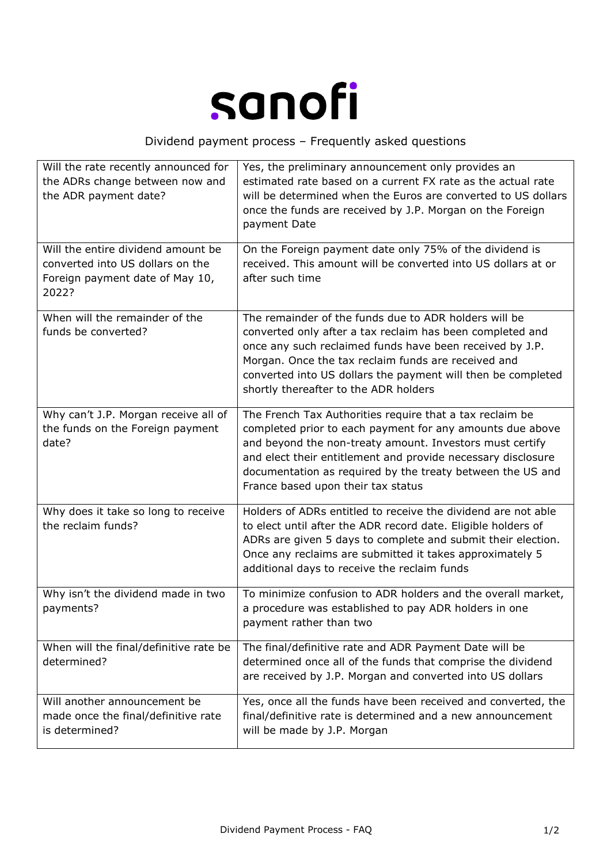

## Dividend payment process – Frequently asked questions

| Will the rate recently announced for<br>the ADRs change between now and<br>the ADR payment date?                   | Yes, the preliminary announcement only provides an<br>estimated rate based on a current FX rate as the actual rate<br>will be determined when the Euros are converted to US dollars<br>once the funds are received by J.P. Morgan on the Foreign<br>payment Date                                                                                      |
|--------------------------------------------------------------------------------------------------------------------|-------------------------------------------------------------------------------------------------------------------------------------------------------------------------------------------------------------------------------------------------------------------------------------------------------------------------------------------------------|
| Will the entire dividend amount be<br>converted into US dollars on the<br>Foreign payment date of May 10,<br>2022? | On the Foreign payment date only 75% of the dividend is<br>received. This amount will be converted into US dollars at or<br>after such time                                                                                                                                                                                                           |
| When will the remainder of the<br>funds be converted?                                                              | The remainder of the funds due to ADR holders will be<br>converted only after a tax reclaim has been completed and<br>once any such reclaimed funds have been received by J.P.<br>Morgan. Once the tax reclaim funds are received and<br>converted into US dollars the payment will then be completed<br>shortly thereafter to the ADR holders        |
| Why can't J.P. Morgan receive all of<br>the funds on the Foreign payment<br>date?                                  | The French Tax Authorities require that a tax reclaim be<br>completed prior to each payment for any amounts due above<br>and beyond the non-treaty amount. Investors must certify<br>and elect their entitlement and provide necessary disclosure<br>documentation as required by the treaty between the US and<br>France based upon their tax status |
| Why does it take so long to receive<br>the reclaim funds?                                                          | Holders of ADRs entitled to receive the dividend are not able<br>to elect until after the ADR record date. Eligible holders of<br>ADRs are given 5 days to complete and submit their election.<br>Once any reclaims are submitted it takes approximately 5<br>additional days to receive the reclaim funds                                            |
| Why isn't the dividend made in two<br>payments?                                                                    | To minimize confusion to ADR holders and the overall market,<br>a procedure was established to pay ADR holders in one<br>payment rather than two                                                                                                                                                                                                      |
| When will the final/definitive rate be<br>determined?                                                              | The final/definitive rate and ADR Payment Date will be<br>determined once all of the funds that comprise the dividend<br>are received by J.P. Morgan and converted into US dollars                                                                                                                                                                    |
| Will another announcement be<br>made once the final/definitive rate<br>is determined?                              | Yes, once all the funds have been received and converted, the<br>final/definitive rate is determined and a new announcement<br>will be made by J.P. Morgan                                                                                                                                                                                            |